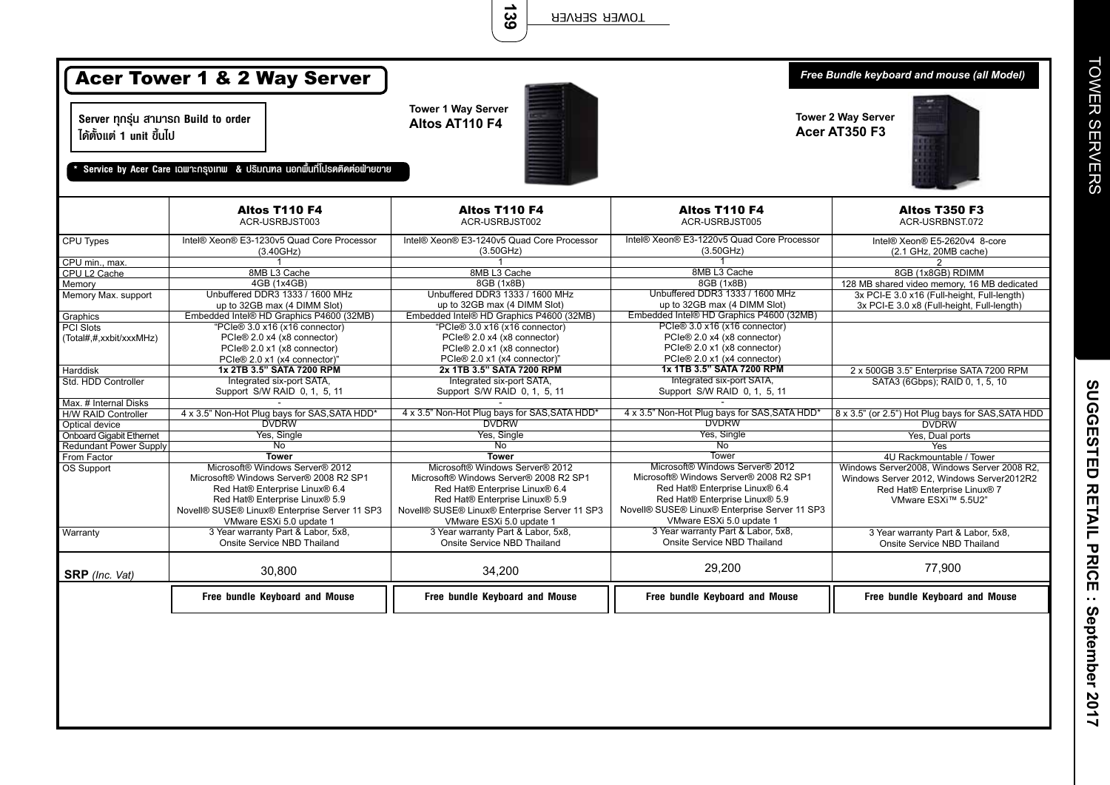**139**

| <b>Acer Tower 1 &amp; 2 Way Server</b><br>Server ทุกรุ่น สามารถ Build to order<br>ได้ตั้งแต่ 1 unit ขึ้นไป<br>Service by Acer Care เฉพาะกรุงเทพ & ปริมณฑล นอกพื้นที่โปรดติดต่อฟ่ายขาย |                                                                                                                                                                                                                            | <b>Tower 1 Way Server</b><br><b>Tower 2 Way Server</b><br>Altos AT110 F4<br>Acer AT350 F3                                                                                                                                  |                                                                                                                                                                                                                            | Free Bundle keyboard and mouse (all Model)                                                                                                      |
|---------------------------------------------------------------------------------------------------------------------------------------------------------------------------------------|----------------------------------------------------------------------------------------------------------------------------------------------------------------------------------------------------------------------------|----------------------------------------------------------------------------------------------------------------------------------------------------------------------------------------------------------------------------|----------------------------------------------------------------------------------------------------------------------------------------------------------------------------------------------------------------------------|-------------------------------------------------------------------------------------------------------------------------------------------------|
|                                                                                                                                                                                       | Altos T110 F4<br>ACR-USRBJST003                                                                                                                                                                                            | Altos T110 F4<br>ACR-USRBJST002                                                                                                                                                                                            | Altos T110 F4<br>ACR-USRBJST005                                                                                                                                                                                            | <b>Altos T350 F3</b><br>ACR-USRBNST.072                                                                                                         |
| <b>CPU Types</b>                                                                                                                                                                      | Intel® Xeon® E3-1230v5 Quad Core Processor<br>(3.40GHz)                                                                                                                                                                    | Intel® Xeon® E3-1240v5 Quad Core Processor<br>(3.50GHz)                                                                                                                                                                    | Intel® Xeon® E3-1220v5 Quad Core Processor<br>(3.50GHz)                                                                                                                                                                    | Intel® Xeon® E5-2620v4 8-core<br>(2.1 GHz, 20MB cache)                                                                                          |
| CPU min., max.                                                                                                                                                                        | -1                                                                                                                                                                                                                         | $\mathbf{1}$                                                                                                                                                                                                               |                                                                                                                                                                                                                            | 2                                                                                                                                               |
| CPU L2 Cache                                                                                                                                                                          | 8MB L3 Cache                                                                                                                                                                                                               | 8MB L3 Cache                                                                                                                                                                                                               | 8MB L3 Cache                                                                                                                                                                                                               | 8GB (1x8GB) RDIMM                                                                                                                               |
| Memory                                                                                                                                                                                | 4GB (1x4GB)                                                                                                                                                                                                                | 8GB (1x8B)                                                                                                                                                                                                                 | 8GB (1x8B)                                                                                                                                                                                                                 | 128 MB shared video memory, 16 MB dedicated                                                                                                     |
| Memory Max. support                                                                                                                                                                   | Unbuffered DDR3 1333 / 1600 MHz                                                                                                                                                                                            | Unbuffered DDR3 1333 / 1600 MHz                                                                                                                                                                                            | Unbuffered DDR3 1333 / 1600 MHz                                                                                                                                                                                            | 3x PCI-E 3.0 x16 (Full-height, Full-length)                                                                                                     |
|                                                                                                                                                                                       | up to 32GB max (4 DIMM Slot)                                                                                                                                                                                               | up to 32GB max (4 DIMM Slot)                                                                                                                                                                                               | up to 32GB max (4 DIMM Slot)                                                                                                                                                                                               | 3x PCI-E 3.0 x8 (Full-height, Full-length)                                                                                                      |
| Graphics                                                                                                                                                                              | Embedded Intel® HD Graphics P4600 (32MB)                                                                                                                                                                                   | Embedded Intel® HD Graphics P4600 (32MB)                                                                                                                                                                                   | Embedded Intel® HD Graphics P4600 (32MB)                                                                                                                                                                                   |                                                                                                                                                 |
| PCI Slots                                                                                                                                                                             | "PCIe® 3.0 x16 (x16 connector)                                                                                                                                                                                             | "PCIe® 3.0 x16 (x16 connector)                                                                                                                                                                                             | PCIe® 3.0 x16 (x16 connector)                                                                                                                                                                                              |                                                                                                                                                 |
| (Total#,#,xxbit/xxxMHz)                                                                                                                                                               | PCIe® 2.0 x4 (x8 connector)                                                                                                                                                                                                | PCIe® 2.0 x4 (x8 connector)                                                                                                                                                                                                | PCIe® 2.0 x4 (x8 connector)                                                                                                                                                                                                |                                                                                                                                                 |
|                                                                                                                                                                                       | PCIe® 2.0 x1 (x8 connector)                                                                                                                                                                                                | PCIe® 2.0 x1 (x8 connector)                                                                                                                                                                                                | PCIe® 2.0 x1 (x8 connector)                                                                                                                                                                                                |                                                                                                                                                 |
|                                                                                                                                                                                       | PCIe® 2.0 x1 (x4 connector)'                                                                                                                                                                                               | PCIe® 2.0 x1 (x4 connector)"                                                                                                                                                                                               | PCIe® 2.0 x1 (x4 connector)                                                                                                                                                                                                |                                                                                                                                                 |
| <b>Harddisk</b>                                                                                                                                                                       | 1x 2TB 3.5" SATA 7200 RPM                                                                                                                                                                                                  | 2x 1TB 3.5" SATA 7200 RPM                                                                                                                                                                                                  | 1x 1TB 3.5" SATA 7200 RPM                                                                                                                                                                                                  | 2 x 500GB 3.5" Enterprise SATA 7200 RPM                                                                                                         |
| Std. HDD Controller                                                                                                                                                                   | Integrated six-port SATA,                                                                                                                                                                                                  | Integrated six-port SATA.                                                                                                                                                                                                  | Integrated six-port SATA,                                                                                                                                                                                                  | SATA3 (6Gbps); RAID 0, 1, 5, 10                                                                                                                 |
|                                                                                                                                                                                       | Support S/W RAID 0, 1, 5, 11                                                                                                                                                                                               | Support S/W RAID 0, 1, 5, 11                                                                                                                                                                                               | Support S/W RAID 0, 1, 5, 11                                                                                                                                                                                               |                                                                                                                                                 |
| Max. # Internal Disks                                                                                                                                                                 |                                                                                                                                                                                                                            |                                                                                                                                                                                                                            | 4 x 3.5" Non-Hot Plug bays for SAS, SATA HDD                                                                                                                                                                               |                                                                                                                                                 |
| <b>H/W RAID Controller</b>                                                                                                                                                            | 4 x 3.5" Non-Hot Plug bays for SAS, SATA HDD*                                                                                                                                                                              | 4 x 3.5" Non-Hot Plug bays for SAS, SATA HDD*                                                                                                                                                                              | <b>DVDRW</b>                                                                                                                                                                                                               | 8 x 3.5" (or 2.5") Hot Plug bays for SAS, SATA HDD                                                                                              |
| Optical device                                                                                                                                                                        | <b>DVDRW</b>                                                                                                                                                                                                               | <b>DVDRW</b>                                                                                                                                                                                                               |                                                                                                                                                                                                                            | <b>DVDRW</b>                                                                                                                                    |
| <b>Onboard Gigabit Ethernet</b>                                                                                                                                                       | Yes, Single                                                                                                                                                                                                                | Yes, Single                                                                                                                                                                                                                | Yes, Single                                                                                                                                                                                                                | Yes, Dual ports                                                                                                                                 |
| Redundant Power Supply                                                                                                                                                                | $\overline{N_{0}}$                                                                                                                                                                                                         | $\overline{N_{0}}$                                                                                                                                                                                                         | $\overline{N_{0}}$                                                                                                                                                                                                         | Yes                                                                                                                                             |
| From Factor                                                                                                                                                                           | <b>Tower</b>                                                                                                                                                                                                               | <b>Tower</b>                                                                                                                                                                                                               | <b>Tower</b>                                                                                                                                                                                                               | 4U Rackmountable / Tower                                                                                                                        |
| OS Support                                                                                                                                                                            | Microsoft® Windows Server® 2012<br>Microsoft® Windows Server® 2008 R2 SP1<br>Red Hat® Enterprise Linux® 6.4<br>Red Hat® Enterprise Linux® 5.9<br>Novell® SUSE® Linux® Enterprise Server 11 SP3<br>VMware ESXi 5.0 update 1 | Microsoft® Windows Server® 2012<br>Microsoft® Windows Server® 2008 R2 SP1<br>Red Hat® Enterprise Linux® 6.4<br>Red Hat® Enterprise Linux® 5.9<br>Novell® SUSE® Linux® Enterprise Server 11 SP3<br>VMware ESXi 5.0 update 1 | Microsoft® Windows Server® 2012<br>Microsoft® Windows Server® 2008 R2 SP1<br>Red Hat® Enterprise Linux® 6.4<br>Red Hat® Enterprise Linux® 5.9<br>Novell® SUSE® Linux® Enterprise Server 11 SP3<br>VMware ESXi 5.0 update 1 | Windows Server2008. Windows Server 2008 R2.<br>Windows Server 2012, Windows Server2012R2<br>Red Hat® Enterprise Linux® 7<br>VMware ESXi™ 5.5U2" |
| Warranty                                                                                                                                                                              | 3 Year warranty Part & Labor, 5x8,<br>Onsite Service NBD Thailand                                                                                                                                                          | 3 Year warranty Part & Labor, 5x8,<br>Onsite Service NBD Thailand                                                                                                                                                          | 3 Year warranty Part & Labor, 5x8,<br>Onsite Service NBD Thailand                                                                                                                                                          | 3 Year warranty Part & Labor, 5x8,<br>Onsite Service NBD Thailand                                                                               |
| <b>SRP</b> (Inc. Vat)                                                                                                                                                                 | 30,800                                                                                                                                                                                                                     | 34,200                                                                                                                                                                                                                     | 29,200                                                                                                                                                                                                                     | 77,900                                                                                                                                          |
|                                                                                                                                                                                       | Free bundle Keyboard and Mouse                                                                                                                                                                                             | Free bundle Keyboard and Mouse                                                                                                                                                                                             | Free bundle Keyboard and Mouse                                                                                                                                                                                             | Free bundle Keyboard and Mouse                                                                                                                  |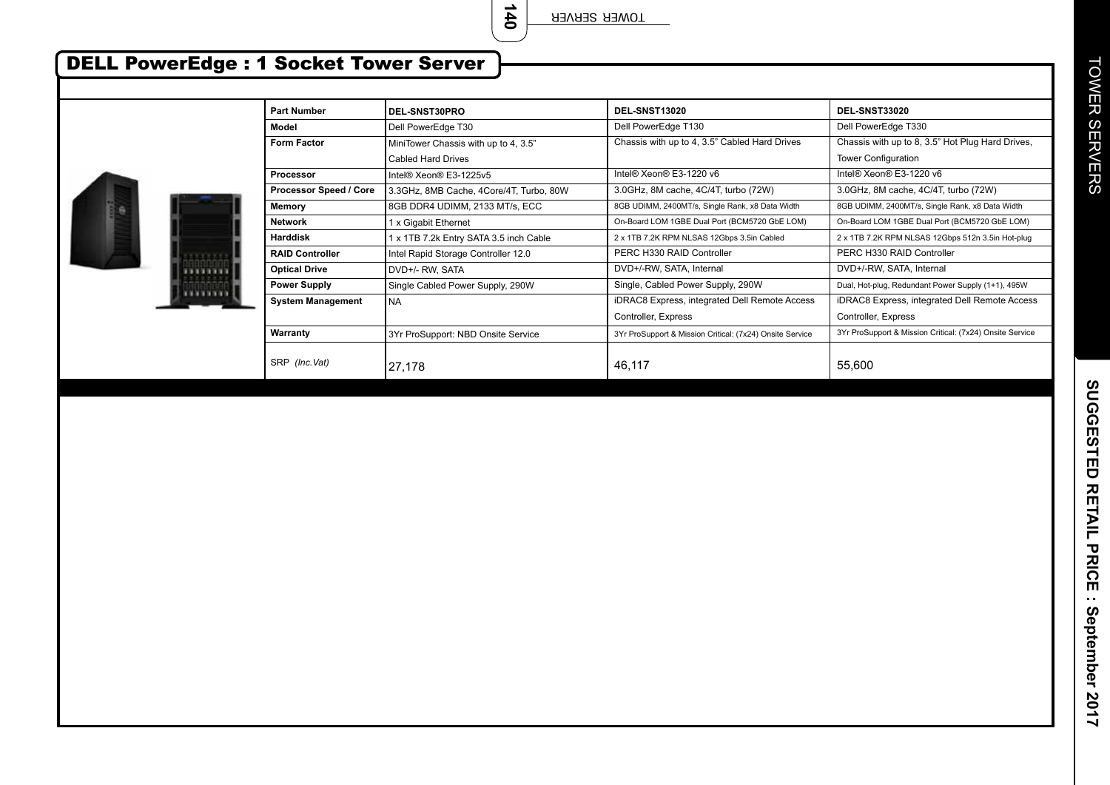**140**

## DELL PowerEdge : 1 Socket Tower Server

7377773 .......

| <b>Part Number</b>            | <b>DEL-SNST30PRO</b>                    | DEL-SNST13020                                            | DEL-SNST33020                                            |
|-------------------------------|-----------------------------------------|----------------------------------------------------------|----------------------------------------------------------|
| Model                         | Dell PowerEdge T30                      | Dell PowerEdge T130                                      | Dell PowerEdge T330                                      |
| <b>Form Factor</b>            | MiniTower Chassis with up to 4, 3.5"    | Chassis with up to 4, 3.5" Cabled Hard Drives            | Chassis with up to 8, 3.5" Hot Plug Hard Drives,         |
|                               | Cabled Hard Drives                      |                                                          | <b>Tower Configuration</b>                               |
| <b>Processor</b>              | Intel® Xeon® E3-1225v5                  | Intel® Xeon® E3-1220 v6                                  | Intel® Xeon® E3-1220 v6                                  |
| <b>Processor Speed / Core</b> | 3.3GHz, 8MB Cache, 4Core/4T, Turbo, 80W | 3.0GHz, 8M cache, 4C/4T, turbo (72W)                     | 3.0GHz, 8M cache, 4C/4T, turbo (72W)                     |
| Memory                        | 8GB DDR4 UDIMM, 2133 MT/s, ECC          | 8GB UDIMM, 2400MT/s, Single Rank, x8 Data Width          | 8GB UDIMM, 2400MT/s, Single Rank, x8 Data Width          |
| <b>Network</b>                | 1 x Gigabit Ethernet                    | On-Board LOM 1GBE Dual Port (BCM5720 GbE LOM)            | On-Board LOM 1GBE Dual Port (BCM5720 GbE LOM)            |
| <b>Harddisk</b>               | 1 x 1TB 7.2k Entry SATA 3.5 inch Cable  | 2 x 1TB 7.2K RPM NLSAS 12Gbps 3.5in Cabled               | 2 x 1TB 7.2K RPM NLSAS 12Gbps 512n 3.5in Hot-plug        |
| <b>RAID Controller</b>        | Intel Rapid Storage Controller 12.0     | PERC H330 RAID Controller                                | PERC H330 RAID Controller                                |
| <b>Optical Drive</b>          | DVD+/- RW, SATA                         | DVD+/-RW, SATA, Internal                                 | DVD+/-RW, SATA, Internal                                 |
| <b>Power Supply</b>           | Single Cabled Power Supply, 290W        | Single, Cabled Power Supply, 290W                        | Dual, Hot-plug, Redundant Power Supply (1+1), 495W       |
| <b>System Management</b>      | <b>NA</b>                               | iDRAC8 Express, integrated Dell Remote Access            | iDRAC8 Express, integrated Dell Remote Access            |
|                               |                                         | Controller, Express                                      | Controller, Express                                      |
| Warranty                      | 3Yr ProSupport: NBD Onsite Service      | 3Yr ProSupport & Mission Critical: (7x24) Onsite Service | 3Yr ProSupport & Mission Critical: (7x24) Onsite Service |
| SRP (Inc. Vat)                | 27,178                                  | 46.117                                                   | 55,600                                                   |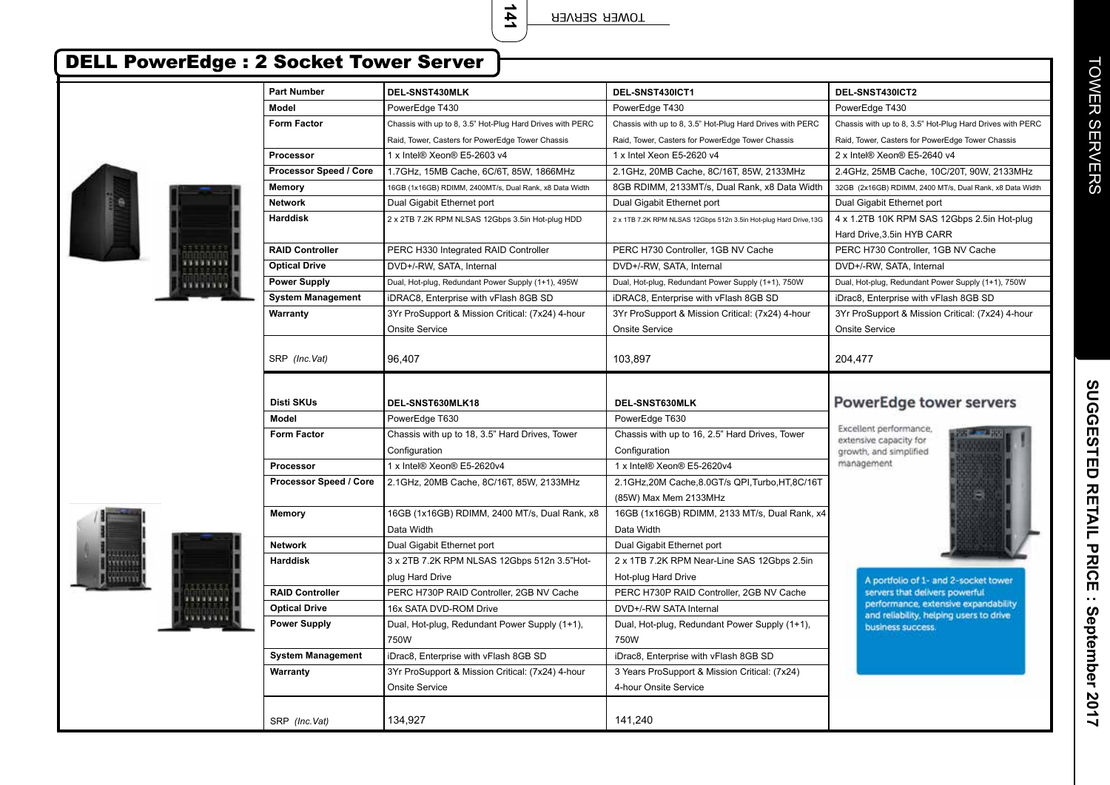**141**

TOWER SERVER

| <b>DELL PowerEdge : 2 Socket Tower Server</b> |                          |                                                           |                                                                   |                                                                           |
|-----------------------------------------------|--------------------------|-----------------------------------------------------------|-------------------------------------------------------------------|---------------------------------------------------------------------------|
|                                               | <b>Part Number</b>       | DEL-SNST430MLK                                            | DEL-SNST430ICT1                                                   | DEL-SNST430ICT2                                                           |
|                                               | Model                    | PowerEdge T430                                            | PowerEdge T430                                                    | PowerEdge T430                                                            |
|                                               | <b>Form Factor</b>       | Chassis with up to 8, 3.5" Hot-Plug Hard Drives with PERC | Chassis with up to 8, 3.5" Hot-Plug Hard Drives with PERC         | Chassis with up to 8, 3.5" Hot-Plug Hard Drives with PERC                 |
|                                               |                          | Raid, Tower, Casters for PowerEdge Tower Chassis          | Raid, Tower, Casters for PowerEdge Tower Chassis                  | Raid, Tower, Casters for PowerEdge Tower Chassis                          |
|                                               | Processor                | 1 x Intel® Xeon® E5-2603 v4                               | 1 x Intel Xeon E5-2620 v4                                         | 2 x Intel® Xeon® E5-2640 v4                                               |
|                                               | Processor Speed / Core   | 1.7GHz, 15MB Cache, 6C/6T, 85W, 1866MHz                   | 2.1GHz, 20MB Cache, 8C/16T, 85W, 2133MHz                          | 2.4GHz, 25MB Cache, 10C/20T, 90W, 2133MHz                                 |
|                                               | <b>Memory</b>            | 16GB (1x16GB) RDIMM, 2400MT/s, Dual Rank, x8 Data Width   | 8GB RDIMM, 2133MT/s, Dual Rank, x8 Data Width                     | 32GB (2x16GB) RDIMM, 2400 MT/s, Dual Rank, x8 Data Width                  |
|                                               | <b>Network</b>           | Dual Gigabit Ethernet port                                | Dual Gigabit Ethernet port                                        | Dual Gigabit Ethernet port                                                |
|                                               | <b>Harddisk</b>          | 2 x 2TB 7.2K RPM NLSAS 12Gbps 3.5in Hot-plug HDD          | 2 x 1TB 7.2K RPM NLSAS 12Gbps 512n 3.5in Hot-plug Hard Drive, 13G | 4 x 1.2TB 10K RPM SAS 12Gbps 2.5in Hot-plug<br>Hard Drive, 3.5in HYB CARR |
|                                               | <b>RAID Controller</b>   | PERC H330 Integrated RAID Controller                      | PERC H730 Controller, 1GB NV Cache                                | PERC H730 Controller, 1GB NV Cache                                        |
| ******                                        | <b>Optical Drive</b>     | DVD+/-RW, SATA, Internal                                  | DVD+/-RW, SATA, Internal                                          | DVD+/-RW, SATA, Internal                                                  |
|                                               | <b>Power Supply</b>      | Dual, Hot-plug, Redundant Power Supply (1+1), 495W        | Dual, Hot-plug, Redundant Power Supply (1+1), 750W                | Dual, Hot-plug, Redundant Power Supply (1+1), 750W                        |
|                                               | <b>System Management</b> | iDRAC8, Enterprise with vFlash 8GB SD                     | iDRAC8, Enterprise with vFlash 8GB SD                             | iDrac8, Enterprise with vFlash 8GB SD                                     |
|                                               | Warranty                 | 3Yr ProSupport & Mission Critical: (7x24) 4-hour          | 3Yr ProSupport & Mission Critical: (7x24) 4-hour                  | 3Yr ProSupport & Mission Critical: (7x24) 4-hour                          |
|                                               |                          | <b>Onsite Service</b>                                     | <b>Onsite Service</b>                                             | <b>Onsite Service</b>                                                     |
|                                               |                          |                                                           |                                                                   |                                                                           |
|                                               | SRP (Inc.Vat)            | 96,407                                                    | 103,897                                                           | 204,477                                                                   |
|                                               | <b>Disti SKUs</b>        | DEL-SNST630MLK18                                          | DEL-SNST630MLK                                                    | PowerEdge tower servers                                                   |
|                                               | <b>Model</b>             | PowerEdge T630                                            | PowerEdge T630                                                    |                                                                           |
|                                               | <b>Form Factor</b>       | Chassis with up to 18, 3.5" Hard Drives, Tower            | Chassis with up to 16, 2.5" Hard Drives, Tower                    | Excellent performance,                                                    |
|                                               |                          | Configuration                                             | Configuration                                                     | extensive capacity for<br>growth, and simplified                          |
|                                               | Processor                | 1 x Intel® Xeon® E5-2620v4                                | 1 x Intel® Xeon® E5-2620v4                                        | management                                                                |
|                                               | Processor Speed / Core   | 2.1GHz, 20MB Cache, 8C/16T, 85W, 2133MHz                  | 2.1GHz,20M Cache,8.0GT/s QPI,Turbo,HT,8C/16T                      |                                                                           |
|                                               |                          |                                                           | (85W) Max Mem 2133MHz                                             |                                                                           |
|                                               | <b>Memory</b>            | 16GB (1x16GB) RDIMM, 2400 MT/s, Dual Rank, x8             | 16GB (1x16GB) RDIMM, 2133 MT/s, Dual Rank, x4                     |                                                                           |
|                                               |                          | Data Width                                                | Data Width                                                        |                                                                           |
|                                               | <b>Network</b>           | Dual Gigabit Ethernet port                                | Dual Gigabit Ethernet port                                        |                                                                           |
|                                               | <b>Harddisk</b>          | 3 x 2TB 7.2K RPM NLSAS 12Gbps 512n 3.5"Hot-               | 2 x 1TB 7.2K RPM Near-Line SAS 12Gbps 2.5in                       |                                                                           |
|                                               |                          | plug Hard Drive                                           | Hot-plug Hard Drive                                               | A portfolio of 1- and 2-socket tower                                      |
|                                               | <b>RAID Controller</b>   | PERC H730P RAID Controller. 2GB NV Cache                  | PERC H730P RAID Controller, 2GB NV Cache                          | servers that delivers powerful.                                           |
|                                               | <b>Optical Drive</b>     | 16x SATA DVD-ROM Drive                                    | DVD+/-RW SATA Internal                                            | performance, extensive expandability                                      |
|                                               | <b>Power Supply</b>      | Dual, Hot-plug, Redundant Power Supply (1+1),             | Dual, Hot-plug, Redundant Power Supply (1+1),                     | and reliability, helping users to drive<br>business success.              |
|                                               |                          | 750W                                                      | 750W                                                              |                                                                           |
|                                               | <b>System Management</b> | iDrac8, Enterprise with vFlash 8GB SD                     | iDrac8, Enterprise with vFlash 8GB SD                             |                                                                           |
|                                               | Warranty                 | 3Yr ProSupport & Mission Critical: (7x24) 4-hour          | 3 Years ProSupport & Mission Critical: (7x24)                     |                                                                           |
|                                               |                          | <b>Onsite Service</b>                                     | 4-hour Onsite Service                                             |                                                                           |
|                                               | SRP (Inc.Vat)            | 134,927                                                   | 141,240                                                           |                                                                           |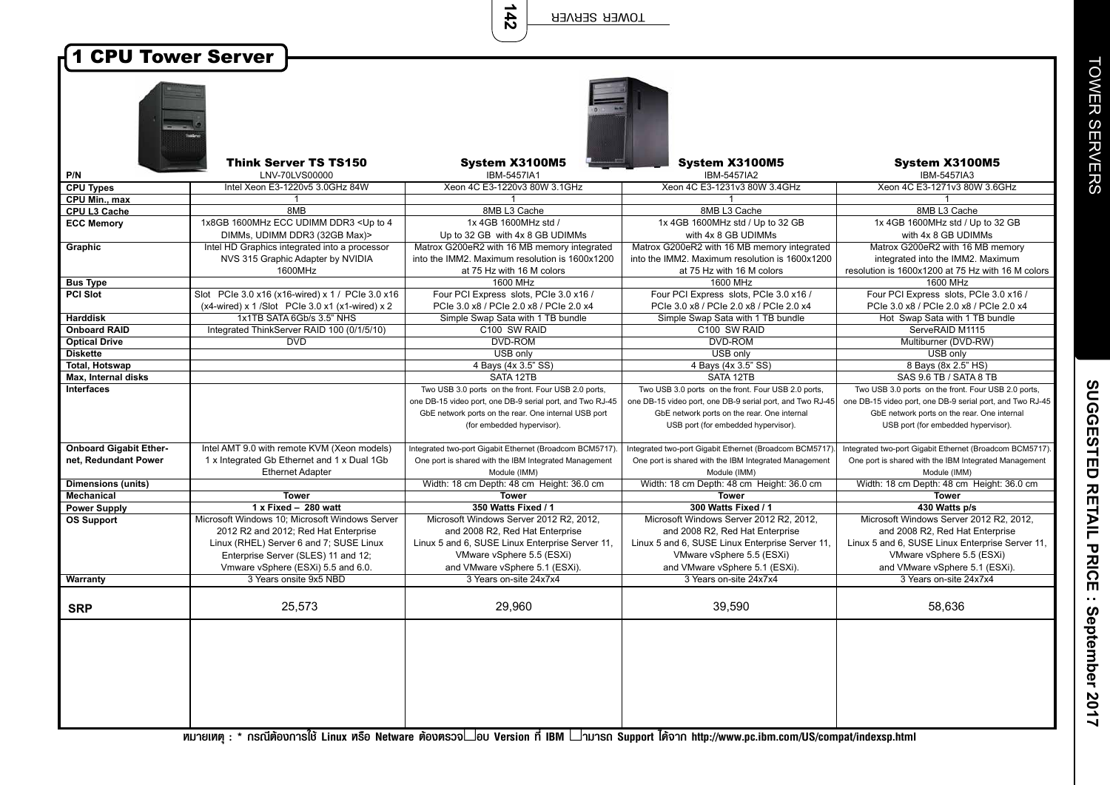**142**

| <b>1 CPU Tower Server</b>            |                                                                                                                                                                         |                                                           |                                                           |                                                           |
|--------------------------------------|-------------------------------------------------------------------------------------------------------------------------------------------------------------------------|-----------------------------------------------------------|-----------------------------------------------------------|-----------------------------------------------------------|
|                                      |                                                                                                                                                                         |                                                           |                                                           |                                                           |
|                                      |                                                                                                                                                                         |                                                           |                                                           |                                                           |
|                                      |                                                                                                                                                                         |                                                           |                                                           |                                                           |
|                                      |                                                                                                                                                                         |                                                           |                                                           |                                                           |
|                                      |                                                                                                                                                                         |                                                           |                                                           |                                                           |
|                                      |                                                                                                                                                                         |                                                           |                                                           |                                                           |
|                                      |                                                                                                                                                                         |                                                           |                                                           |                                                           |
|                                      |                                                                                                                                                                         |                                                           |                                                           |                                                           |
|                                      | <b>Think Server TS TS150</b>                                                                                                                                            | System X3100M5                                            | System X3100M5                                            | System X3100M5                                            |
| P/N                                  |                                                                                                                                                                         |                                                           |                                                           |                                                           |
| <b>CPU Types</b>                     | LNV-70LVS00000                                                                                                                                                          | IBM-5457IA1<br>Xeon 4C E3-1220v3 80W 3.1GHz               | IBM-5457IA2<br>Xeon 4C E3-1231v3 80W 3.4GHz               | IBM-5457IA3<br>Xeon 4C E3-1271v3 80W 3.6GHz               |
|                                      | Intel Xeon E3-1220v5 3.0GHz 84W                                                                                                                                         | -1                                                        |                                                           |                                                           |
| CPU Min., max<br><b>CPU L3 Cache</b> | -1<br>8MB                                                                                                                                                               | 8MB L3 Cache                                              |                                                           | 1<br>8MB L3 Cache                                         |
|                                      |                                                                                                                                                                         |                                                           | 8MB L3 Cache                                              |                                                           |
| <b>ECC Memory</b>                    | 1x8GB 1600MHz ECC UDIMM DDR3 <up 4<="" th="" to=""><th>1x 4GB 1600MHz std /</th><th>1x 4GB 1600MHz std / Up to 32 GB</th><th>1x 4GB 1600MHz std / Up to 32 GB</th></up> | 1x 4GB 1600MHz std /                                      | 1x 4GB 1600MHz std / Up to 32 GB                          | 1x 4GB 1600MHz std / Up to 32 GB                          |
|                                      | DIMMs, UDIMM DDR3 (32GB Max)>                                                                                                                                           | Up to 32 GB with 4x 8 GB UDIMMs                           | with 4x 8 GB UDIMMs                                       | with 4x 8 GB UDIMMs                                       |
| <b>Graphic</b>                       | Intel HD Graphics integrated into a processor                                                                                                                           | Matrox G200eR2 with 16 MB memory integrated               | Matrox G200eR2 with 16 MB memory integrated               | Matrox G200eR2 with 16 MB memory                          |
|                                      | NVS 315 Graphic Adapter by NVIDIA                                                                                                                                       | into the IMM2. Maximum resolution is 1600x1200            | into the IMM2. Maximum resolution is 1600x1200            | integrated into the IMM2. Maximum                         |
|                                      | 1600MHz                                                                                                                                                                 | at 75 Hz with 16 M colors                                 | at 75 Hz with 16 M colors                                 | resolution is 1600x1200 at 75 Hz with 16 M colors         |
| <b>Bus Type</b>                      |                                                                                                                                                                         | 1600 MHz                                                  | 1600 MHz                                                  | 1600 MHz                                                  |
| <b>PCI Slot</b>                      | Slot PCle 3.0 x16 (x16-wired) x 1 / PCle 3.0 x16                                                                                                                        | Four PCI Express slots, PCIe 3.0 x16 /                    | Four PCI Express slots, PCIe 3.0 x16 /                    | Four PCI Express slots, PCIe 3.0 x16 /                    |
|                                      | $(x4-wired)$ x 1/Slot PCIe 3.0 x1 $(x1-wired)$ x 2                                                                                                                      | PCle 3.0 x8 / PCle 2.0 x8 / PCle 2.0 x4                   | PCle 3.0 x8 / PCle 2.0 x8 / PCle 2.0 x4                   | PCle 3.0 x8 / PCle 2.0 x8 / PCle 2.0 x4                   |
| <b>Harddisk</b>                      | 1x1TB SATA 6Gb/s 3.5" NHS                                                                                                                                               | Simple Swap Sata with 1 TB bundle                         | Simple Swap Sata with 1 TB bundle                         | Hot Swap Sata with 1 TB bundle                            |
| <b>Onboard RAID</b>                  | Integrated ThinkServer RAID 100 (0/1/5/10)                                                                                                                              | C100 SW RAID                                              | C100 SW RAID                                              | ServeRAID M1115                                           |
| <b>Optical Drive</b>                 | <b>DVD</b>                                                                                                                                                              | <b>DVD-ROM</b>                                            | <b>DVD-ROM</b>                                            | Multiburner (DVD-RW)                                      |
| <b>Diskette</b>                      |                                                                                                                                                                         | USB only                                                  | USB only                                                  | USB only                                                  |
| <b>Total, Hotswap</b>                |                                                                                                                                                                         | 4 Bays (4x 3.5" SS)                                       | 4 Bays (4x 3.5" SS)                                       | 8 Bays (8x 2.5" HS)                                       |
| Max, Internal disks                  |                                                                                                                                                                         | SATA 12TB                                                 | SATA 12TB                                                 | SAS 9.6 TB / SATA 8 TB                                    |
| <b>Interfaces</b>                    |                                                                                                                                                                         | Two USB 3.0 ports on the front. Four USB 2.0 ports,       | Two USB 3.0 ports on the front. Four USB 2.0 ports,       | Two USB 3.0 ports on the front. Four USB 2.0 ports,       |
|                                      |                                                                                                                                                                         | one DB-15 video port, one DB-9 serial port, and Two RJ-45 | one DB-15 video port, one DB-9 serial port, and Two RJ-45 | one DB-15 video port, one DB-9 serial port, and Two RJ-45 |
|                                      |                                                                                                                                                                         | GbE network ports on the rear. One internal USB port      | GbE network ports on the rear. One internal               | GbE network ports on the rear. One internal               |
|                                      |                                                                                                                                                                         | (for embedded hypervisor).                                | USB port (for embedded hypervisor).                       | USB port (for embedded hypervisor).                       |
|                                      |                                                                                                                                                                         |                                                           |                                                           |                                                           |
| <b>Onboard Gigabit Ether-</b>        | Intel AMT 9.0 with remote KVM (Xeon models)                                                                                                                             | Integrated two-port Gigabit Ethernet (Broadcom BCM5717)   | Integrated two-port Gigabit Ethernet (Broadcom BCM5717)   | Integrated two-port Gigabit Ethernet (Broadcom BCM5717).  |
| net, Redundant Power                 | 1 x Integrated Gb Ethernet and 1 x Dual 1Gb                                                                                                                             | One port is shared with the IBM Integrated Management     | One port is shared with the IBM Integrated Management     | One port is shared with the IBM Integrated Management     |
|                                      | <b>Ethernet Adapter</b>                                                                                                                                                 | Module (IMM)                                              | Module (IMM)                                              | Module (IMM)                                              |
| <b>Dimensions (units)</b>            |                                                                                                                                                                         | Width: 18 cm Depth: 48 cm Height: 36.0 cm                 | Width: 18 cm Depth: 48 cm Height: 36.0 cm                 | Width: 18 cm Depth: 48 cm Height: 36.0 cm                 |
| Mechanical                           | <b>Tower</b>                                                                                                                                                            | <b>Tower</b>                                              | <b>Tower</b>                                              | <b>Tower</b>                                              |
| <b>Power Supply</b>                  | $1x$ Fixed - 280 watt                                                                                                                                                   | 350 Watts Fixed / 1                                       | 300 Watts Fixed / 1                                       | 430 Watts p/s                                             |
| <b>OS Support</b>                    | Microsoft Windows 10: Microsoft Windows Server                                                                                                                          | Microsoft Windows Server 2012 R2, 2012.                   | Microsoft Windows Server 2012 R2, 2012.                   | Microsoft Windows Server 2012 R2, 2012.                   |
|                                      | 2012 R2 and 2012; Red Hat Enterprise                                                                                                                                    | and 2008 R2, Red Hat Enterprise                           | and 2008 R2, Red Hat Enterprise                           | and 2008 R2, Red Hat Enterprise                           |
|                                      | Linux (RHEL) Server 6 and 7; SUSE Linux                                                                                                                                 | Linux 5 and 6, SUSE Linux Enterprise Server 11,           | Linux 5 and 6, SUSE Linux Enterprise Server 11,           | Linux 5 and 6, SUSE Linux Enterprise Server 11,           |
|                                      | Enterprise Server (SLES) 11 and 12;                                                                                                                                     | VMware vSphere 5.5 (ESXi)                                 | VMware vSphere 5.5 (ESXi)                                 | VMware vSphere 5.5 (ESXi)                                 |
|                                      | Vmware vSphere (ESXi) 5.5 and 6.0.                                                                                                                                      | and VMware vSphere 5.1 (ESXi).                            | and VMware vSphere 5.1 (ESXi).                            | and VMware vSphere 5.1 (ESXi).                            |
| <b>Warranty</b>                      | 3 Years onsite 9x5 NBD                                                                                                                                                  | 3 Years on-site 24x7x4                                    | 3 Years on-site 24x7x4                                    | 3 Years on-site 24x7x4                                    |
|                                      |                                                                                                                                                                         |                                                           |                                                           |                                                           |
| <b>SRP</b>                           | 25,573                                                                                                                                                                  | 29,960                                                    | 39,590                                                    | 58,636                                                    |
|                                      |                                                                                                                                                                         |                                                           |                                                           |                                                           |
|                                      |                                                                                                                                                                         |                                                           |                                                           |                                                           |
|                                      |                                                                                                                                                                         |                                                           |                                                           |                                                           |
|                                      |                                                                                                                                                                         |                                                           |                                                           |                                                           |
|                                      |                                                                                                                                                                         |                                                           |                                                           |                                                           |
|                                      |                                                                                                                                                                         |                                                           |                                                           |                                                           |
|                                      |                                                                                                                                                                         |                                                           |                                                           |                                                           |
|                                      |                                                                                                                                                                         |                                                           |                                                           |                                                           |
|                                      |                                                                                                                                                                         |                                                           |                                                           |                                                           |
|                                      |                                                                                                                                                                         |                                                           |                                                           |                                                           |

**TOWER SERVERS** TOWER SERVERS

**иштения** : \* nsณีต้องการใช้ Linux изо Netware ต้องตรวจ∟ou Version ที่ IBM ∟ามารถ Support ได้จาก http://www.pc.ibm.com/US/compat/indexsp.html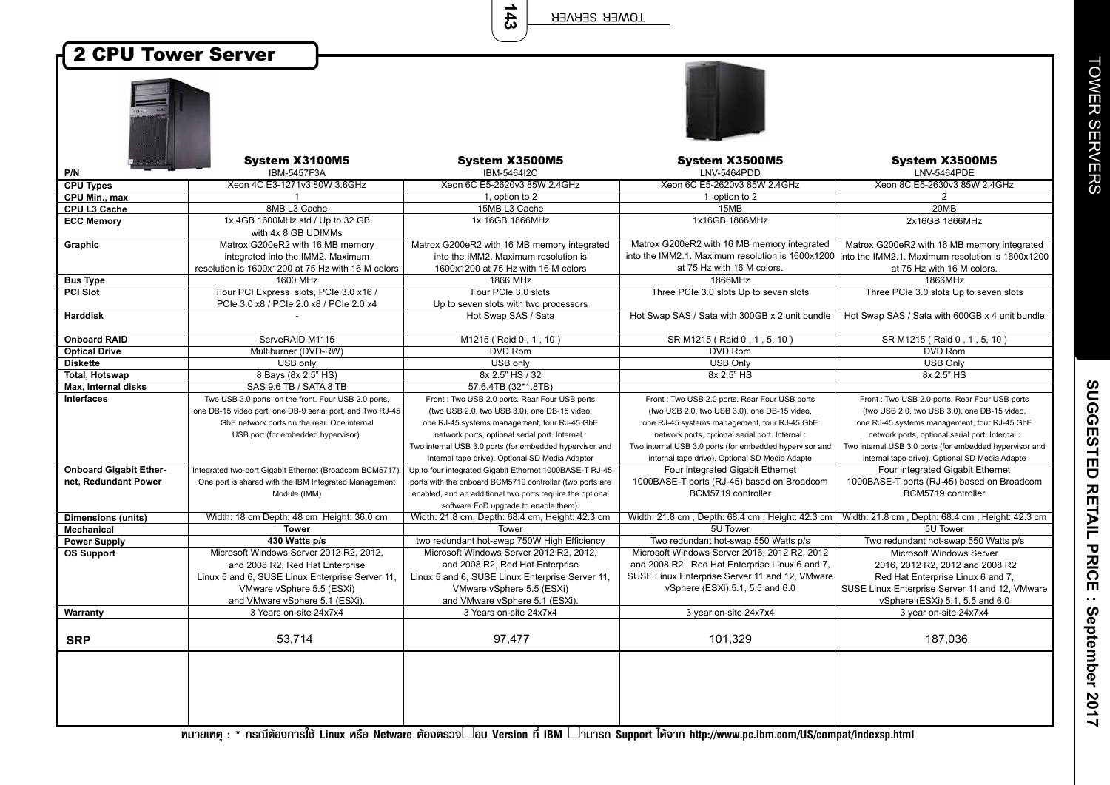**143**

## 2 CPU Tower Server

| 'n |  |  |
|----|--|--|
|    |  |  |
| Ì  |  |  |
|    |  |  |
|    |  |  |
|    |  |  |
|    |  |  |

|                               | System X3100M5                                            | System X3500M5                                            | System X3500M5                                          | System X3500M5                                                                                    |
|-------------------------------|-----------------------------------------------------------|-----------------------------------------------------------|---------------------------------------------------------|---------------------------------------------------------------------------------------------------|
| P/N                           | IBM-5457F3A                                               | IBM-5464I2C                                               | LNV-5464PDD                                             | LNV-5464PDE                                                                                       |
| <b>CPU Types</b>              | Xeon 4C E3-1271v3 80W 3.6GHz                              | Xeon 6C E5-2620v3 85W 2.4GHz                              | Xeon 6C E5-2620v3 85W 2.4GHz                            | Xeon 8C E5-2630v3 85W 2.4GHz                                                                      |
| CPU Min., max                 |                                                           | 1, option to 2                                            | 1, option to 2                                          | $\overline{2}$                                                                                    |
| CPU L3 Cache                  | 8MB L3 Cache                                              | 15MB L3 Cache                                             | 15MB                                                    | 20MB                                                                                              |
| <b>ECC Memory</b>             | 1x 4GB 1600MHz std / Up to 32 GB                          | 1x 16GB 1866MHz                                           | 1x16GB 1866MHz                                          | 2x16GB 1866MHz                                                                                    |
|                               | with 4x 8 GB UDIMMs                                       |                                                           |                                                         |                                                                                                   |
| Graphic                       | Matrox G200eR2 with 16 MB memory                          | Matrox G200eR2 with 16 MB memory integrated               | Matrox G200eR2 with 16 MB memory integrated             | Matrox G200eR2 with 16 MB memory integrated                                                       |
|                               | integrated into the IMM2. Maximum                         | into the IMM2. Maximum resolution is                      |                                                         | into the IMM2.1. Maximum resolution is 1600x1200 into the IMM2.1. Maximum resolution is 1600x1200 |
|                               | resolution is 1600x1200 at 75 Hz with 16 M colors         | 1600x1200 at 75 Hz with 16 M colors                       | at 75 Hz with 16 M colors.                              | at 75 Hz with 16 M colors.                                                                        |
| <b>Bus Type</b>               | 1600 MHz                                                  | 1866 MHz                                                  | 1866MHz                                                 | 1866MHz                                                                                           |
| <b>PCI Slot</b>               | Four PCI Express slots, PCIe 3.0 x16 /                    | Four PCIe 3.0 slots                                       | Three PCIe 3.0 slots Up to seven slots                  | Three PCIe 3.0 slots Up to seven slots                                                            |
|                               | PCIe 3.0 x8 / PCIe 2.0 x8 / PCIe 2.0 x4                   | Up to seven slots with two processors                     |                                                         |                                                                                                   |
| <b>Harddisk</b>               |                                                           | Hot Swap SAS / Sata                                       | Hot Swap SAS / Sata with 300GB x 2 unit bundle          | Hot Swap SAS / Sata with 600GB x 4 unit bundle                                                    |
| <b>Onboard RAID</b>           | ServeRAID M1115                                           | M1215 (Raid 0, 1, 10)                                     | SR M1215 (Raid 0, 1, 5, 10)                             | SR M1215 (Raid 0, 1, 5, 10)                                                                       |
| <b>Optical Drive</b>          | Multiburner (DVD-RW)                                      | <b>DVD Rom</b>                                            | DVD Rom                                                 | DVD Rom                                                                                           |
| <b>Diskette</b>               | USB only                                                  | USB only                                                  | <b>USB Only</b>                                         | <b>USB Only</b>                                                                                   |
| <b>Total, Hotswap</b>         | 8 Bays (8x 2.5" HS)                                       | 8x 2.5" HS / 32                                           | 8x 2.5" HS                                              | 8x 2.5" HS                                                                                        |
| Max, Internal disks           | SAS 9.6 TB / SATA 8 TB                                    | 57.6.4TB (32*1.8TB)                                       |                                                         |                                                                                                   |
| Interfaces                    | Two USB 3.0 ports on the front. Four USB 2.0 ports,       | Front: Two USB 2.0 ports. Rear Four USB ports             | Front: Two USB 2.0 ports. Rear Four USB ports           | Front: Two USB 2.0 ports. Rear Four USB ports                                                     |
|                               | one DB-15 video port, one DB-9 serial port, and Two RJ-45 | (two USB 2.0, two USB 3.0), one DB-15 video,              | (two USB 2.0, two USB 3.0), one DB-15 video,            | (two USB 2.0, two USB 3.0), one DB-15 video,                                                      |
|                               | GbE network ports on the rear. One internal               | one RJ-45 systems management, four RJ-45 GbE              | one RJ-45 systems management, four RJ-45 GbE            | one RJ-45 systems management, four RJ-45 GbE                                                      |
|                               | USB port (for embedded hypervisor).                       | network ports, optional serial port. Internal :           | network ports, optional serial port. Internal :         | network ports, optional serial port. Internal                                                     |
|                               |                                                           | Two internal USB 3.0 ports (for embedded hypervisor and   | Two internal USB 3.0 ports (for embedded hypervisor and | Two internal USB 3.0 ports (for embedded hypervisor and                                           |
|                               |                                                           | internal tape drive). Optional SD Media Adapter           | internal tape drive). Optional SD Media Adapte          | internal tape drive). Optional SD Media Adapte                                                    |
| <b>Onboard Gigabit Ether-</b> | Integrated two-port Gigabit Ethernet (Broadcom BCM5717).  | Up to four integrated Gigabit Ethernet 1000BASE-T RJ-45   | Four integrated Gigabit Ethernet                        | Four integrated Gigabit Ethernet                                                                  |
| net, Redundant Power          | One port is shared with the IBM Integrated Management     | ports with the onboard BCM5719 controller (two ports are  | 1000BASE-T ports (RJ-45) based on Broadcom              | 1000BASE-T ports (RJ-45) based on Broadcom                                                        |
|                               | Module (IMM)                                              | enabled, and an additional two ports require the optional | BCM5719 controller                                      | BCM5719 controller                                                                                |
|                               |                                                           | software FoD upgrade to enable them).                     |                                                         |                                                                                                   |
| <b>Dimensions (units)</b>     | Width: 18 cm Depth: 48 cm Height: 36.0 cm                 | Width: 21.8 cm, Depth: 68.4 cm, Height: 42.3 cm           | Width: 21.8 cm, Depth: 68.4 cm, Height: 42.3 cm         | Width: 21.8 cm, Depth: 68.4 cm, Height: 42.3 cm                                                   |
| Mechanical                    | <b>Tower</b>                                              | Tower                                                     | 5U Tower                                                | 5U Tower                                                                                          |
| <b>Power Supply</b>           | 430 Watts p/s                                             | two redundant hot-swap 750W High Efficiency               | Two redundant hot-swap 550 Watts p/s                    | Two redundant hot-swap 550 Watts p/s                                                              |
| <b>OS Support</b>             | Microsoft Windows Server 2012 R2, 2012,                   | Microsoft Windows Server 2012 R2, 2012,                   | Microsoft Windows Server 2016, 2012 R2, 2012            | <b>Microsoft Windows Server</b>                                                                   |
|                               | and 2008 R2, Red Hat Enterprise                           | and 2008 R2, Red Hat Enterprise                           | and 2008 R2, Red Hat Enterprise Linux 6 and 7,          | 2016, 2012 R2, 2012 and 2008 R2                                                                   |
|                               | Linux 5 and 6, SUSE Linux Enterprise Server 11,           | Linux 5 and 6, SUSE Linux Enterprise Server 11,           | SUSE Linux Enterprise Server 11 and 12, VMware          | Red Hat Enterprise Linux 6 and 7,                                                                 |
|                               | VMware vSphere 5.5 (ESXi)                                 | VMware vSphere 5.5 (ESXi)                                 | vSphere (ESXi) 5.1, 5.5 and 6.0                         | SUSE Linux Enterprise Server 11 and 12, VMware                                                    |
|                               | and VMware vSphere 5.1 (ESXi).                            | and VMware vSphere 5.1 (ESXi).                            |                                                         | vSphere (ESXi) 5.1, 5.5 and 6.0                                                                   |
| Warranty                      | 3 Years on-site 24x7x4                                    | 3 Years on-site 24x7x4                                    | 3 year on-site 24x7x4                                   | 3 year on-site 24x7x4                                                                             |
|                               |                                                           |                                                           |                                                         |                                                                                                   |
| <b>SRP</b>                    | 53,714                                                    | 97,477                                                    | 101,329                                                 | 187,036                                                                                           |
|                               |                                                           |                                                           |                                                         |                                                                                                   |
|                               |                                                           |                                                           |                                                         |                                                                                                   |
|                               |                                                           |                                                           |                                                         |                                                                                                   |
|                               |                                                           |                                                           |                                                         |                                                                                                   |
|                               |                                                           |                                                           |                                                         |                                                                                                   |
|                               |                                                           |                                                           |                                                         |                                                                                                   |
|                               |                                                           |                                                           |                                                         |                                                                                                   |

<del>и</del><br>"Иленир : \* nsณีต้องการใช้ Linux иรือ Netware ต้องตรวจ∟อบ Version ที่ IBM ∟ามารถ Support ได้จาก http://www.pc.ibm.com/US/compat/indexsp.html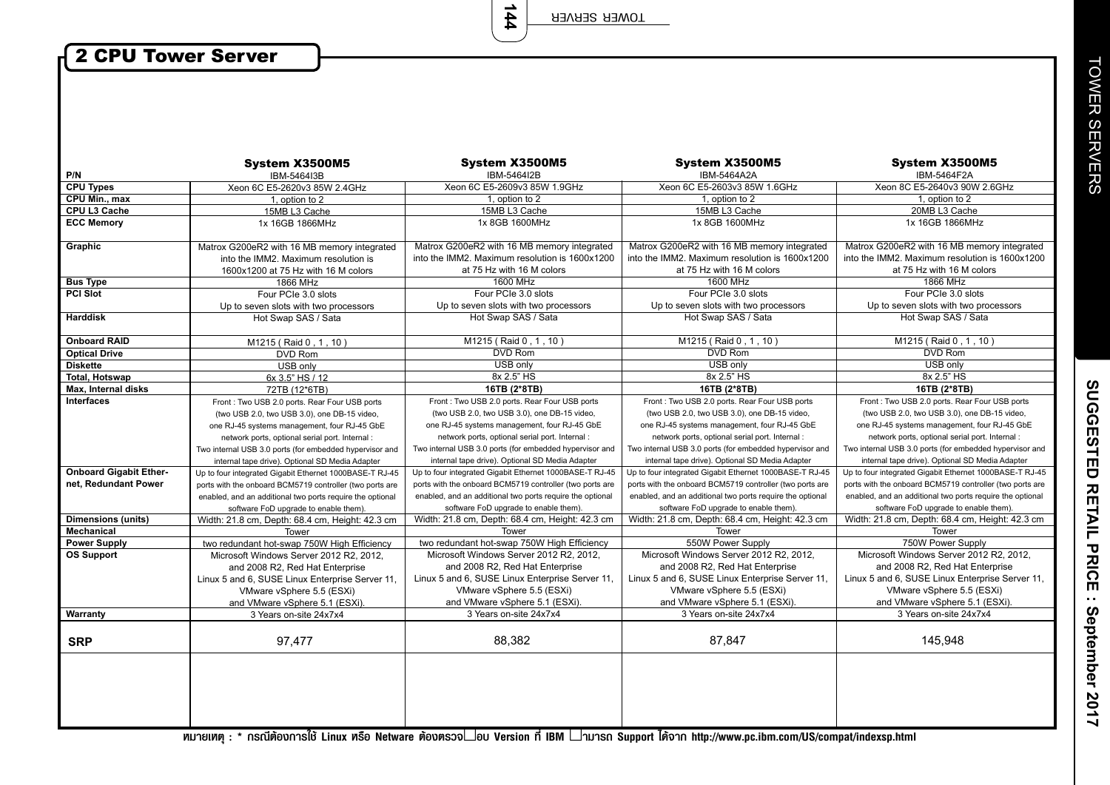**144**

## 2 CPU Tower Server

 $\overline{\phantom{a}}$ 

|                               | System X3500M5                                                                      | System X3500M5                                                                                | System X3500M5                                                                                | System X3500M5                                                                                |
|-------------------------------|-------------------------------------------------------------------------------------|-----------------------------------------------------------------------------------------------|-----------------------------------------------------------------------------------------------|-----------------------------------------------------------------------------------------------|
| P/N                           | IBM-5464I3B                                                                         | IBM-5464I2B                                                                                   | <b>IBM-5464A2A</b>                                                                            | IBM-5464F2A                                                                                   |
| <b>CPU Types</b>              | Xeon 6C E5-2620v3 85W 2.4GHz                                                        | Xeon 6C E5-2609v3 85W 1.9GHz                                                                  | Xeon 6C E5-2603v3 85W 1.6GHz                                                                  | Xeon 8C E5-2640v3 90W 2.6GHz                                                                  |
| CPU Min., max                 | 1, option to 2                                                                      | 1, option to 2                                                                                | 1, option to 2                                                                                | 1, option to 2                                                                                |
| CPU L3 Cache                  | 15MB L3 Cache                                                                       | 15MB L3 Cache                                                                                 | 15MB L3 Cache                                                                                 | 20MB L3 Cache                                                                                 |
| <b>ECC Memory</b>             | 1x 16GB 1866MHz                                                                     | 1x 8GB 1600MHz                                                                                | 1x 8GB 1600MHz                                                                                | 1x 16GB 1866MHz                                                                               |
| Graphic                       | Matrox G200eR2 with 16 MB memory integrated<br>into the IMM2. Maximum resolution is | Matrox G200eR2 with 16 MB memory integrated<br>into the IMM2. Maximum resolution is 1600x1200 | Matrox G200eR2 with 16 MB memory integrated<br>into the IMM2. Maximum resolution is 1600x1200 | Matrox G200eR2 with 16 MB memory integrated<br>into the IMM2. Maximum resolution is 1600x1200 |
|                               | 1600x1200 at 75 Hz with 16 M colors                                                 | at 75 Hz with 16 M colors                                                                     | at 75 Hz with 16 M colors                                                                     | at 75 Hz with 16 M colors                                                                     |
| <b>Bus Type</b>               | 1866 MHz                                                                            | 1600 MHz                                                                                      | 1600 MHz                                                                                      | 1866 MHz                                                                                      |
| <b>PCI Slot</b>               | Four PCIe 3.0 slots                                                                 | Four PCIe 3.0 slots                                                                           | Four PCIe 3.0 slots                                                                           | Four PCIe 3.0 slots                                                                           |
|                               | Up to seven slots with two processors                                               | Up to seven slots with two processors                                                         | Up to seven slots with two processors                                                         | Up to seven slots with two processors                                                         |
| <b>Harddisk</b>               | Hot Swap SAS / Sata                                                                 | Hot Swap SAS / Sata                                                                           | Hot Swap SAS / Sata                                                                           | Hot Swap SAS / Sata                                                                           |
| <b>Onboard RAID</b>           | M1215 (Raid 0, 1, 10)                                                               | M1215 (Raid 0, 1, 10)                                                                         | M1215 (Raid 0, 1, 10)                                                                         | M1215 (Raid 0, 1, 10)                                                                         |
| <b>Optical Drive</b>          | DVD Rom                                                                             | <b>DVD Rom</b>                                                                                | <b>DVD Rom</b>                                                                                | DVD Rom                                                                                       |
| <b>Diskette</b>               | USB only                                                                            | USB only                                                                                      | USB only                                                                                      | USB only                                                                                      |
| <b>Total. Hotswap</b>         | 6x 3.5" HS / 12                                                                     | 8x 2.5" HS                                                                                    | 8x 2.5" HS                                                                                    | 8x 2.5" HS                                                                                    |
| Max, Internal disks           | 72TB (12*6TB)                                                                       | 16TB (2*8TB)                                                                                  | 16TB (2*8TB)                                                                                  | 16TB (2*8TB)                                                                                  |
| <b>Interfaces</b>             | Front: Two USB 2.0 ports. Rear Four USB ports                                       | Front: Two USB 2.0 ports. Rear Four USB ports                                                 | Front: Two USB 2.0 ports. Rear Four USB ports                                                 | Front: Two USB 2.0 ports. Rear Four USB ports                                                 |
|                               | (two USB 2.0, two USB 3.0), one DB-15 video,                                        | (two USB 2.0, two USB 3.0), one DB-15 video,                                                  | (two USB 2.0, two USB 3.0), one DB-15 video,                                                  | (two USB 2.0, two USB 3.0), one DB-15 video,                                                  |
|                               | one RJ-45 systems management, four RJ-45 GbE                                        | one RJ-45 systems management, four RJ-45 GbE                                                  | one RJ-45 systems management, four RJ-45 GbE                                                  | one RJ-45 systems management, four RJ-45 GbE                                                  |
|                               | network ports, optional serial port. Internal:                                      | network ports, optional serial port. Internal :                                               | network ports, optional serial port. Internal :                                               | network ports, optional serial port. Internal :                                               |
|                               | Two internal USB 3.0 ports (for embedded hypervisor and                             | Two internal USB 3.0 ports (for embedded hypervisor and                                       | Two internal USB 3.0 ports (for embedded hypervisor and                                       | Two internal USB 3.0 ports (for embedded hypervisor and                                       |
|                               | internal tape drive). Optional SD Media Adapter                                     | internal tape drive). Optional SD Media Adapter                                               | internal tape drive). Optional SD Media Adapter                                               | internal tape drive). Optional SD Media Adapter                                               |
| <b>Onboard Gigabit Ether-</b> | Up to four integrated Gigabit Ethernet 1000BASE-T RJ-45                             | Up to four integrated Gigabit Ethernet 1000BASE-T RJ-45                                       | Up to four integrated Gigabit Ethernet 1000BASE-T RJ-45                                       | Up to four integrated Gigabit Ethernet 1000BASE-T RJ-45                                       |
| net, Redundant Power          | ports with the onboard BCM5719 controller (two ports are                            | ports with the onboard BCM5719 controller (two ports are                                      | ports with the onboard BCM5719 controller (two ports are                                      | ports with the onboard BCM5719 controller (two ports are                                      |
|                               | enabled, and an additional two ports require the optional                           | enabled, and an additional two ports require the optional                                     | enabled, and an additional two ports require the optional                                     | enabled, and an additional two ports require the optional                                     |
|                               | software FoD upgrade to enable them).                                               | software FoD upgrade to enable them).                                                         | software FoD upgrade to enable them).                                                         | software FoD upgrade to enable them).                                                         |
| <b>Dimensions (units)</b>     | Width: 21.8 cm, Depth: 68.4 cm, Height: 42.3 cm                                     | Width: 21.8 cm, Depth: 68.4 cm, Height: 42.3 cm                                               | Width: 21.8 cm, Depth: 68.4 cm, Height: 42.3 cm                                               | Width: 21.8 cm, Depth: 68.4 cm, Height: 42.3 cm                                               |
| <b>Mechanical</b>             | Tower                                                                               | Tower                                                                                         | Tower                                                                                         | Tower                                                                                         |
| <b>Power Supply</b>           | two redundant hot-swap 750W High Efficiency                                         | two redundant hot-swap 750W High Efficiency                                                   | 550W Power Supply                                                                             | 750W Power Supply                                                                             |
| <b>OS Support</b>             | Microsoft Windows Server 2012 R2, 2012,                                             | Microsoft Windows Server 2012 R2, 2012,                                                       | Microsoft Windows Server 2012 R2, 2012,                                                       | Microsoft Windows Server 2012 R2, 2012,                                                       |
|                               | and 2008 R2, Red Hat Enterprise                                                     | and 2008 R2, Red Hat Enterprise                                                               | and 2008 R2, Red Hat Enterprise                                                               | and 2008 R2, Red Hat Enterprise                                                               |
|                               | Linux 5 and 6, SUSE Linux Enterprise Server 11,                                     | Linux 5 and 6, SUSE Linux Enterprise Server 11,                                               | Linux 5 and 6, SUSE Linux Enterprise Server 11,                                               | Linux 5 and 6, SUSE Linux Enterprise Server 11,                                               |
|                               | VMware vSphere 5.5 (ESXi)                                                           | VMware vSphere 5.5 (ESXi)                                                                     | VMware vSphere 5.5 (ESXi)                                                                     | VMware vSphere 5.5 (ESXi)                                                                     |
|                               | and VMware vSphere 5.1 (ESXi).                                                      | and VMware vSphere 5.1 (ESXi).                                                                | and VMware vSphere 5.1 (ESXi).                                                                | and VMware vSphere 5.1 (ESXi).                                                                |
| Warranty                      | 3 Years on-site 24x7x4                                                              | 3 Years on-site 24x7x4                                                                        | 3 Years on-site 24x7x4                                                                        | 3 Years on-site 24x7x4                                                                        |
|                               |                                                                                     |                                                                                               |                                                                                               |                                                                                               |
| <b>SRP</b>                    | 97,477                                                                              | 88,382                                                                                        | 87,847                                                                                        | 145,948                                                                                       |
|                               |                                                                                     |                                                                                               |                                                                                               |                                                                                               |

**TOWER SERVERS** TOWER SERVERS

SUGGESTED RETAIL PRICE : September 2017 **SUGGESTED RETAIL PRICE : September 2017**

<del>и</del><br>• интения : \* nsณีต้องการใช้ Linux иรือ Netware ต้องตรวจ∟ou Version ที่ IBM ∟ามารถ Support ได้จาก http://www.pc.ibm.com/US/compat/indexsp.html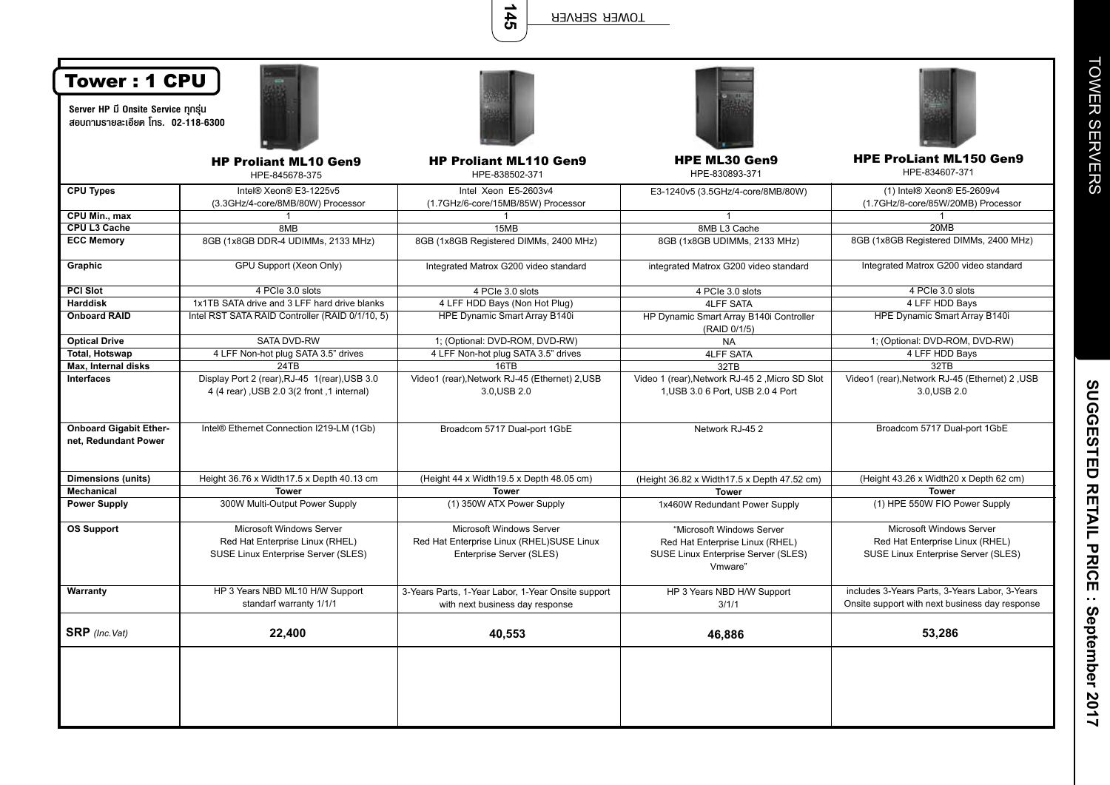**145**

| Tower: 1 CPU<br>Server HP มี Onsite Service ทุกรุ่น   |                                                                                                    |                                                                                                          |                                                                                                                |                                                                                                    |
|-------------------------------------------------------|----------------------------------------------------------------------------------------------------|----------------------------------------------------------------------------------------------------------|----------------------------------------------------------------------------------------------------------------|----------------------------------------------------------------------------------------------------|
| สอบถามรายละเอียด โทร. 02-118-6300                     |                                                                                                    |                                                                                                          |                                                                                                                |                                                                                                    |
|                                                       | <b>HP Proliant ML10 Gen9</b><br>HPE-845678-375                                                     | <b>HP Proliant ML110 Gen9</b><br>HPE-838502-371                                                          | <b>HPE ML30 Gen9</b><br>HPE-830893-371                                                                         | <b>HPE ProLiant ML150 Gen9</b><br>HPE-834607-371                                                   |
| <b>CPU Types</b>                                      | Intel® Xeon® E3-1225v5<br>(3.3GHz/4-core/8MB/80W) Processor                                        | Intel Xeon E5-2603v4<br>(1.7GHz/6-core/15MB/85W) Processor                                               | E3-1240v5 (3.5GHz/4-core/8MB/80W)                                                                              | (1) Intel® Xeon® E5-2609v4<br>(1.7GHz/8-core/85W/20MB) Processor                                   |
| CPU Min., max                                         | -1                                                                                                 |                                                                                                          | $\mathbf{1}$                                                                                                   |                                                                                                    |
| CPU L3 Cache                                          | 8MB                                                                                                | 15MB                                                                                                     | 8MB L3 Cache                                                                                                   | 20MB                                                                                               |
| <b>ECC Memory</b>                                     | 8GB (1x8GB DDR-4 UDIMMs, 2133 MHz)                                                                 | 8GB (1x8GB Registered DIMMs, 2400 MHz)                                                                   | 8GB (1x8GB UDIMMs, 2133 MHz)                                                                                   | 8GB (1x8GB Registered DIMMs, 2400 MHz)                                                             |
| Graphic                                               | GPU Support (Xeon Only)                                                                            | Integrated Matrox G200 video standard                                                                    | integrated Matrox G200 video standard                                                                          | Integrated Matrox G200 video standard                                                              |
| <b>PCI Slot</b>                                       | 4 PCIe 3.0 slots                                                                                   | 4 PCIe 3.0 slots                                                                                         | 4 PCIe 3.0 slots                                                                                               | 4 PCIe 3.0 slots                                                                                   |
| <b>Harddisk</b>                                       | 1x1TB SATA drive and 3 LFF hard drive blanks                                                       | 4 LFF HDD Bays (Non Hot Plug)                                                                            | <b>4LFF SATA</b>                                                                                               | 4 LFF HDD Bays                                                                                     |
| <b>Onboard RAID</b>                                   | Intel RST SATA RAID Controller (RAID 0/1/10, 5)                                                    | HPE Dynamic Smart Array B140i                                                                            | HP Dynamic Smart Array B140i Controller<br>(RAID 0/1/5)                                                        | HPE Dynamic Smart Array B140i                                                                      |
| <b>Optical Drive</b>                                  | <b>SATA DVD-RW</b>                                                                                 | 1; (Optional: DVD-ROM, DVD-RW)                                                                           | <b>NA</b>                                                                                                      | 1; (Optional: DVD-ROM, DVD-RW)                                                                     |
| <b>Total, Hotswap</b>                                 | 4 LFF Non-hot plug SATA 3.5" drives                                                                | 4 LFF Non-hot plug SATA 3.5" drives                                                                      | <b>4LFF SATA</b>                                                                                               | 4 LFF HDD Bays                                                                                     |
| Max, Internal disks                                   | 24TB                                                                                               | 16TB                                                                                                     | 32TB                                                                                                           | 32TB                                                                                               |
| <b>Interfaces</b>                                     | Display Port 2 (rear), RJ-45 1(rear), USB 3.0<br>4 (4 rear), USB 2.0 3(2 front, 1 internal)        | Video1 (rear), Network RJ-45 (Ethernet) 2, USB<br>3.0, USB 2.0                                           | Video 1 (rear), Network RJ-45 2, Micro SD Slot<br>1, USB 3.0 6 Port, USB 2.0 4 Port                            | Video1 (rear), Network RJ-45 (Ethernet) 2, USB<br>3.0, USB 2.0                                     |
| <b>Onboard Gigabit Ether-</b><br>net, Redundant Power | Intel® Ethernet Connection I219-LM (1Gb)                                                           | Broadcom 5717 Dual-port 1GbE                                                                             | Network RJ-452                                                                                                 | Broadcom 5717 Dual-port 1GbE                                                                       |
| <b>Dimensions (units)</b>                             | Height 36.76 x Width 17.5 x Depth 40.13 cm                                                         | (Height 44 x Width 19.5 x Depth 48.05 cm)                                                                | (Height 36.82 x Width 17.5 x Depth 47.52 cm)                                                                   | (Height 43.26 x Width20 x Depth 62 cm)                                                             |
| Mechanical                                            | <b>Tower</b>                                                                                       | <b>Tower</b>                                                                                             | <b>Tower</b>                                                                                                   | <b>Tower</b>                                                                                       |
| <b>Power Supply</b>                                   | 300W Multi-Output Power Supply                                                                     | (1) 350W ATX Power Supply                                                                                | 1x460W Redundant Power Supply                                                                                  | (1) HPE 550W FIO Power Supply                                                                      |
| <b>OS Support</b>                                     | Microsoft Windows Server<br>Red Hat Enterprise Linux (RHEL)<br>SUSE Linux Enterprise Server (SLES) | <b>Microsoft Windows Server</b><br>Red Hat Enterprise Linux (RHEL)SUSE Linux<br>Enterprise Server (SLES) | "Microsoft Windows Server<br>Red Hat Enterprise Linux (RHEL)<br>SUSE Linux Enterprise Server (SLES)<br>Vmware" | Microsoft Windows Server<br>Red Hat Enterprise Linux (RHEL)<br>SUSE Linux Enterprise Server (SLES) |
| Warranty                                              | HP 3 Years NBD ML10 H/W Support<br>standarf warranty 1/1/1                                         | 3-Years Parts, 1-Year Labor, 1-Year Onsite support<br>with next business day response                    | HP 3 Years NBD H/W Support<br>3/1/1                                                                            | includes 3-Years Parts, 3-Years Labor, 3-Years<br>Onsite support with next business day response   |
| <b>SRP</b> (Inc.Vat)                                  | 22,400                                                                                             | 40,553                                                                                                   | 46,886                                                                                                         | 53,286                                                                                             |
|                                                       |                                                                                                    |                                                                                                          |                                                                                                                |                                                                                                    |